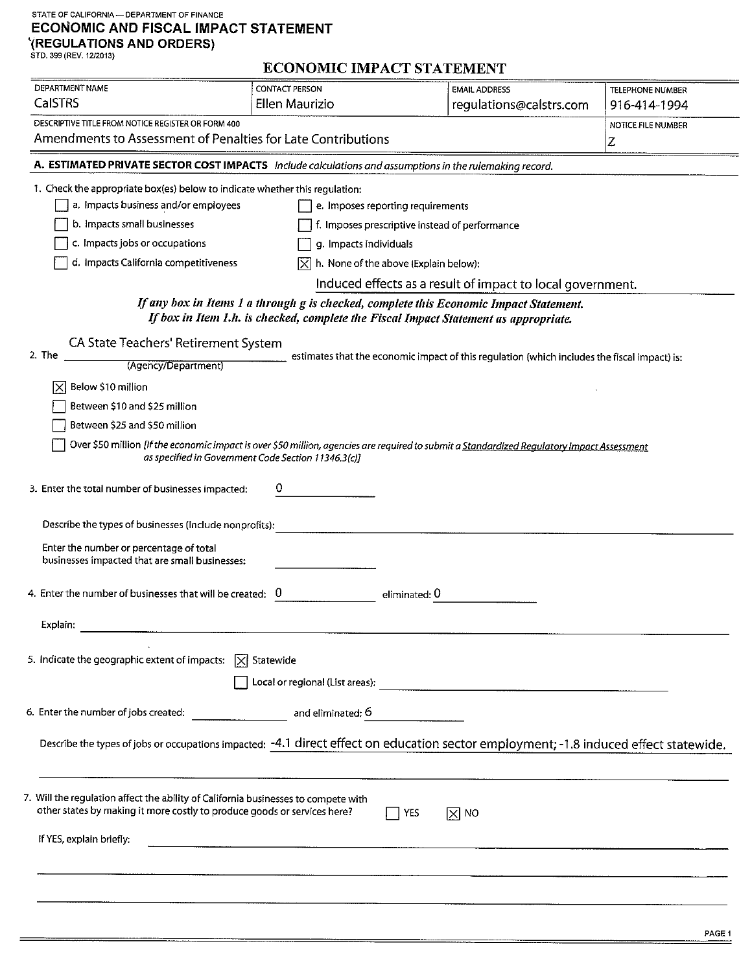# STATE OF CALIFORNIA - DEPARTMENT OF FINANCE ECONOMIC AND FISCAL IMPACT STATEMENT  $\Gamma$ (REGULATIONS AND ORDERS)<br>STD. 399 (REV. 12/2013)

# **ECONOMIC IMPACT STATEMENT**

| DEPARTMENT NAME                                                                                                                                                                            | omre marae i biatronen i                                                                                                                                                       |                                                                                              |                                         |
|--------------------------------------------------------------------------------------------------------------------------------------------------------------------------------------------|--------------------------------------------------------------------------------------------------------------------------------------------------------------------------------|----------------------------------------------------------------------------------------------|-----------------------------------------|
| <b>CalSTRS</b>                                                                                                                                                                             | <b>CONTACT PERSON</b><br>Ellen Maurizio                                                                                                                                        | <b>EMAIL ADDRESS</b><br>regulations@calstrs.com                                              | <b>TELEPHONE NUMBER</b><br>916-414-1994 |
| DESCRIPTIVE TITLE FROM NOTICE REGISTER OR FORM 400                                                                                                                                         |                                                                                                                                                                                |                                                                                              |                                         |
| Amendments to Assessment of Penalties for Late Contributions                                                                                                                               |                                                                                                                                                                                |                                                                                              | NOTICE FILE NUMBER<br>Z                 |
| A. ESTIMATED PRIVATE SECTOR COST IMPACTS Include calculations and assumptions in the rulemaking record.                                                                                    |                                                                                                                                                                                |                                                                                              |                                         |
|                                                                                                                                                                                            |                                                                                                                                                                                |                                                                                              |                                         |
| 1. Check the appropriate box(es) below to indicate whether this regulation:                                                                                                                |                                                                                                                                                                                |                                                                                              |                                         |
| a. Impacts business and/or employees                                                                                                                                                       | e. Imposes reporting requirements                                                                                                                                              |                                                                                              |                                         |
| b. Impacts small businesses<br>f. Imposes prescriptive instead of performance                                                                                                              |                                                                                                                                                                                |                                                                                              |                                         |
|                                                                                                                                                                                            | c. Impacts jobs or occupations<br>g. Impacts individuals                                                                                                                       |                                                                                              |                                         |
| d. Impacts California competitiveness                                                                                                                                                      | h. None of the above (Explain below):<br>IXI                                                                                                                                   |                                                                                              |                                         |
|                                                                                                                                                                                            |                                                                                                                                                                                | Induced effects as a result of impact to local government.                                   |                                         |
|                                                                                                                                                                                            | If any box in Items 1 a through g is checked, complete this Economic Impact Statement.<br>If box in Item 1.h. is checked, complete the Fiscal Impact Statement as appropriate. |                                                                                              |                                         |
| CA State Teachers' Retirement System                                                                                                                                                       |                                                                                                                                                                                |                                                                                              |                                         |
| 2. The<br>(Agency/Department)                                                                                                                                                              |                                                                                                                                                                                | estimates that the economic impact of this regulation (which includes the fiscal impact) is: |                                         |
| Below \$10 million                                                                                                                                                                         |                                                                                                                                                                                |                                                                                              |                                         |
| Between \$10 and \$25 million                                                                                                                                                              |                                                                                                                                                                                |                                                                                              |                                         |
| Between \$25 and \$50 million                                                                                                                                                              |                                                                                                                                                                                |                                                                                              |                                         |
|                                                                                                                                                                                            | Over \$50 million [If the economic impact is over \$50 million, agencies are required to submit a Standardized Regulatory Impact Assessment                                    |                                                                                              |                                         |
| 3. Enter the total number of businesses impacted:<br>Describe the types of businesses (include nonprofits):                                                                                |                                                                                                                                                                                |                                                                                              |                                         |
| Enter the number or percentage of total<br>businesses impacted that are small businesses:                                                                                                  |                                                                                                                                                                                |                                                                                              |                                         |
| 4. Enter the number of businesses that will be created: 0                                                                                                                                  | eliminated: U                                                                                                                                                                  |                                                                                              |                                         |
| Explain:                                                                                                                                                                                   |                                                                                                                                                                                |                                                                                              |                                         |
| 5. Indicate the geographic extent of impacts: $\boxed{\times}$ Statewide                                                                                                                   |                                                                                                                                                                                |                                                                                              |                                         |
|                                                                                                                                                                                            |                                                                                                                                                                                |                                                                                              |                                         |
| 6. Enter the number of jobs created:<br>and eliminated: 6                                                                                                                                  |                                                                                                                                                                                |                                                                                              |                                         |
| Describe the types of jobs or occupations impacted: -4.1 direct effect on education sector employment; -1.8 induced effect statewide.                                                      |                                                                                                                                                                                |                                                                                              |                                         |
| 7. Will the regulation affect the ability of California businesses to compete with<br>other states by making it more costly to produce goods or services here?<br>If YES, explain briefly: | <b>YES</b>                                                                                                                                                                     | ∣⊠ мо                                                                                        |                                         |
|                                                                                                                                                                                            |                                                                                                                                                                                |                                                                                              |                                         |
|                                                                                                                                                                                            |                                                                                                                                                                                |                                                                                              |                                         |
|                                                                                                                                                                                            |                                                                                                                                                                                |                                                                                              |                                         |
|                                                                                                                                                                                            |                                                                                                                                                                                |                                                                                              |                                         |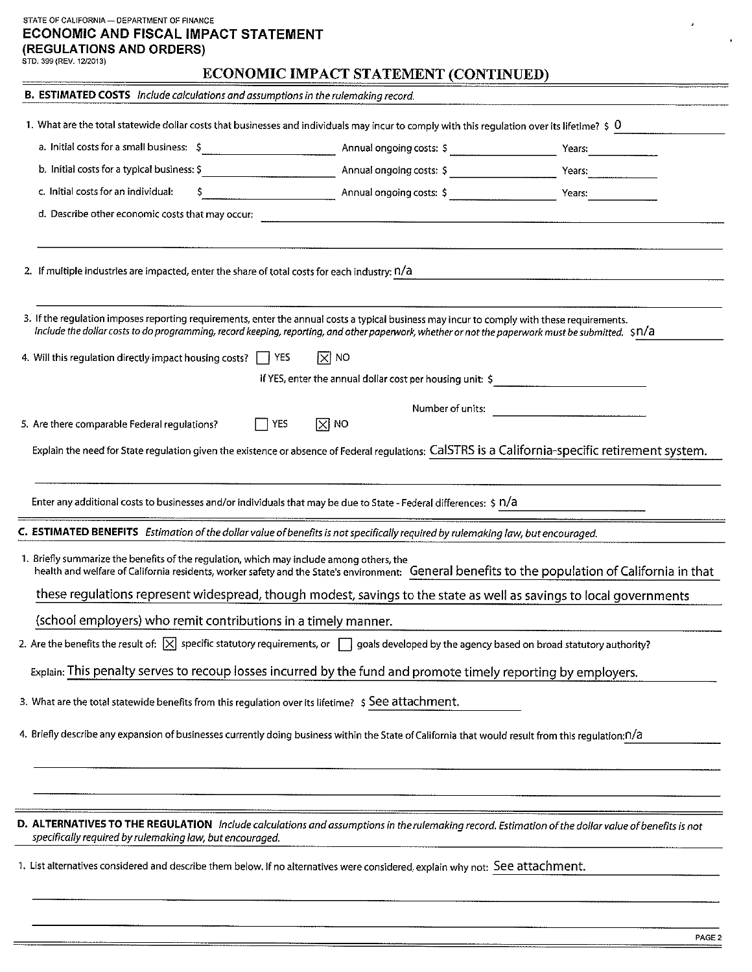### STATE OF CALIFORNIA - DEPARTMENT OF FINANCE ECONOMIC AND FISCAL IMPACT STATEMENT (REGULATIONS AND ORDERS)

## ECONOMIC IMPACT STATEMENT (CONTINUED)

| B. ESTIMATED COSTS Include calculations and assumptions in the rulemaking record.                                                                                                                              |                                                                                                                                                            |                                                           |                                                                                                                                                  |  |
|----------------------------------------------------------------------------------------------------------------------------------------------------------------------------------------------------------------|------------------------------------------------------------------------------------------------------------------------------------------------------------|-----------------------------------------------------------|--------------------------------------------------------------------------------------------------------------------------------------------------|--|
| 1. What are the total statewide dollar costs that businesses and individuals may incur to comply with this requlation over its lifetime? $\frac{1}{2}$ 0                                                       |                                                                                                                                                            |                                                           |                                                                                                                                                  |  |
|                                                                                                                                                                                                                |                                                                                                                                                            |                                                           |                                                                                                                                                  |  |
|                                                                                                                                                                                                                |                                                                                                                                                            |                                                           | Years:                                                                                                                                           |  |
| c. Initial costs for an individual:                                                                                                                                                                            |                                                                                                                                                            |                                                           |                                                                                                                                                  |  |
| d. Describe other economic costs that may occur:                                                                                                                                                               |                                                                                                                                                            |                                                           |                                                                                                                                                  |  |
|                                                                                                                                                                                                                |                                                                                                                                                            |                                                           |                                                                                                                                                  |  |
| 2. If multiple industries are impacted, enter the share of total costs for each industry: n/a                                                                                                                  |                                                                                                                                                            |                                                           |                                                                                                                                                  |  |
|                                                                                                                                                                                                                |                                                                                                                                                            |                                                           |                                                                                                                                                  |  |
| 3. If the regulation imposes reporting requirements, enter the annual costs a typical business may incur to comply with these requirements.                                                                    |                                                                                                                                                            |                                                           |                                                                                                                                                  |  |
| Include the dollar costs to do programming, record keeping, reporting, and other paperwork, whether or not the paperwork must be submitted. \$N/a                                                              |                                                                                                                                                            |                                                           |                                                                                                                                                  |  |
| 4. Will this regulation directly impact housing costs?     YES                                                                                                                                                 |                                                                                                                                                            | $ \overline{x} $ NO                                       |                                                                                                                                                  |  |
|                                                                                                                                                                                                                |                                                                                                                                                            | If YES, enter the annual dollar cost per housing unit: \$ |                                                                                                                                                  |  |
| 5. Are there comparable Federal regulations?                                                                                                                                                                   | $\Box$ YES                                                                                                                                                 | Number of units:<br>$\boxtimes$ NO                        |                                                                                                                                                  |  |
|                                                                                                                                                                                                                |                                                                                                                                                            |                                                           |                                                                                                                                                  |  |
|                                                                                                                                                                                                                |                                                                                                                                                            |                                                           | Explain the need for State regulation given the existence or absence of Federal regulations: CalSTRS is a California-specific retirement system. |  |
|                                                                                                                                                                                                                |                                                                                                                                                            |                                                           |                                                                                                                                                  |  |
| Enter any additional costs to businesses and/or individuals that may be due to State - Federal differences: \$ n/a                                                                                             |                                                                                                                                                            |                                                           |                                                                                                                                                  |  |
| C. ESTIMATED BENEFITS Estimation of the dollar value of benefits is not specifically required by rulemaking law, but encouraged.                                                                               |                                                                                                                                                            |                                                           |                                                                                                                                                  |  |
| 1. Briefly summarize the benefits of the regulation, which may include among others, the                                                                                                                       |                                                                                                                                                            |                                                           | health and welfare of California residents, worker safety and the State's environment: General benefits to the population of California in that  |  |
|                                                                                                                                                                                                                | these regulations represent widespread, though modest, savings to the state as well as savings to local governments                                        |                                                           |                                                                                                                                                  |  |
| (school employers) who remit contributions in a timely manner.                                                                                                                                                 |                                                                                                                                                            |                                                           |                                                                                                                                                  |  |
|                                                                                                                                                                                                                | 2. Are the benefits the result of: $ \times $ specific statutory requirements, or $\Box$ goals developed by the agency based on broad statutory authority? |                                                           |                                                                                                                                                  |  |
| Explain: This penalty serves to recoup losses incurred by the fund and promote timely reporting by employers.                                                                                                  |                                                                                                                                                            |                                                           |                                                                                                                                                  |  |
| 3. What are the total statewide benefits from this regulation over its lifetime? \$ See attachment.                                                                                                            |                                                                                                                                                            |                                                           |                                                                                                                                                  |  |
|                                                                                                                                                                                                                |                                                                                                                                                            |                                                           |                                                                                                                                                  |  |
| 4. Briefly describe any expansion of businesses currently doing business within the State of California that would result from this regulation: n/a                                                            |                                                                                                                                                            |                                                           |                                                                                                                                                  |  |
|                                                                                                                                                                                                                |                                                                                                                                                            |                                                           |                                                                                                                                                  |  |
|                                                                                                                                                                                                                |                                                                                                                                                            |                                                           |                                                                                                                                                  |  |
|                                                                                                                                                                                                                |                                                                                                                                                            |                                                           |                                                                                                                                                  |  |
| D. ALTERNATIVES TO THE REGULATION Include calculations and assumptions in the rulemaking record. Estimation of the dollar value of benefits is not<br>specifically required by rulemaking law, but encouraged. |                                                                                                                                                            |                                                           |                                                                                                                                                  |  |
|                                                                                                                                                                                                                |                                                                                                                                                            |                                                           | 1. List alternatives considered and describe them below. If no alternatives were considered, explain why not: See attachment.                    |  |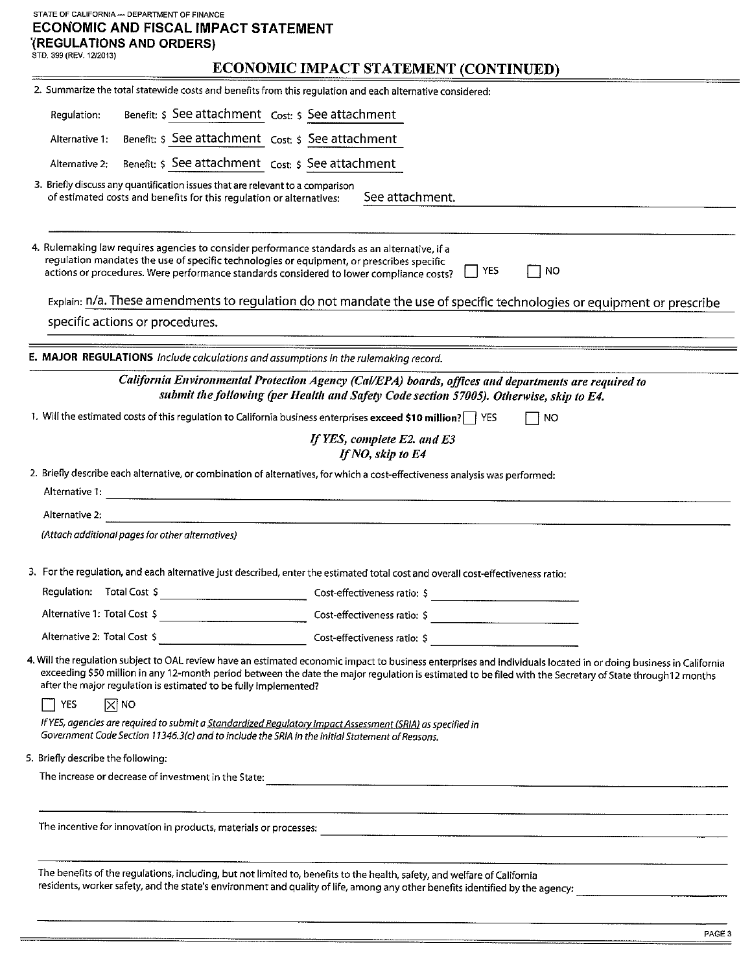#### STATE OF CALIFORNIA - DEPARTMENT OF FINANCE ECONOMIC AND FISCAL IMPACT STATEMENT **(REGULATIONS AND ORDERS)** STD. 399 (REV. 12/2013)

# **ECONOMIC IMPACT STATEMENT (CONTINUED)**

|                                    |                                                                                                                                                                                                                                                                                       | <u> 2000 - 2000 - 2000 - 2000 - 2000 - 2000 - 2000 - 2000 - 2000 - 2000 - 2000 - 2000 - 2000 - 2000 - 2000 - 200</u>             |                                                                                                                                                                                                                                                                                                                                |
|------------------------------------|---------------------------------------------------------------------------------------------------------------------------------------------------------------------------------------------------------------------------------------------------------------------------------------|----------------------------------------------------------------------------------------------------------------------------------|--------------------------------------------------------------------------------------------------------------------------------------------------------------------------------------------------------------------------------------------------------------------------------------------------------------------------------|
|                                    |                                                                                                                                                                                                                                                                                       | 2. Summarize the total statewide costs and benefits from this regulation and each alternative considered:                        |                                                                                                                                                                                                                                                                                                                                |
| Regulation:                        | Benefit: \$ See attachment Cost: \$ See attachment                                                                                                                                                                                                                                    |                                                                                                                                  |                                                                                                                                                                                                                                                                                                                                |
| Alternative 1:                     | Benefit: \$ See attachment Cost: \$ See attachment                                                                                                                                                                                                                                    |                                                                                                                                  |                                                                                                                                                                                                                                                                                                                                |
| Alternative 2:                     | Benefit: \$ See attachment cost: \$ See attachment                                                                                                                                                                                                                                    |                                                                                                                                  |                                                                                                                                                                                                                                                                                                                                |
|                                    | 3. Briefly discuss any quantification issues that are relevant to a comparison<br>of estimated costs and benefits for this regulation or alternatives:                                                                                                                                | See attachment.                                                                                                                  |                                                                                                                                                                                                                                                                                                                                |
|                                    | 4. Rulemaking law requires agencies to consider performance standards as an alternative, if a<br>regulation mandates the use of specific technologies or equipment, or prescribes specific<br>actions or procedures. Were performance standards considered to lower compliance costs? | YES                                                                                                                              | ∣NO                                                                                                                                                                                                                                                                                                                            |
|                                    |                                                                                                                                                                                                                                                                                       |                                                                                                                                  | Explain: n/a. These amendments to regulation do not mandate the use of specific technologies or equipment or prescribe                                                                                                                                                                                                         |
|                                    | specific actions or procedures.                                                                                                                                                                                                                                                       |                                                                                                                                  |                                                                                                                                                                                                                                                                                                                                |
|                                    | E. MAJOR REGULATIONS Include calculations and assumptions in the rulemaking record.                                                                                                                                                                                                   |                                                                                                                                  |                                                                                                                                                                                                                                                                                                                                |
|                                    |                                                                                                                                                                                                                                                                                       | California Environmental Protection Agency (Cal/EPA) boards, offices and departments are required to                             |                                                                                                                                                                                                                                                                                                                                |
|                                    |                                                                                                                                                                                                                                                                                       | submit the following (per Health and Safety Code section 57005). Otherwise, skip to E4.                                          |                                                                                                                                                                                                                                                                                                                                |
|                                    |                                                                                                                                                                                                                                                                                       | 1. Will the estimated costs of this regulation to California business enterprises exceed \$10 million? YES                       | □ NO                                                                                                                                                                                                                                                                                                                           |
|                                    |                                                                                                                                                                                                                                                                                       | If YES, complete E2. and E3<br>If NO, skip to E4                                                                                 |                                                                                                                                                                                                                                                                                                                                |
|                                    |                                                                                                                                                                                                                                                                                       | 2. Briefly describe each alternative, or combination of alternatives, for which a cost-effectiveness analysis was performed:     |                                                                                                                                                                                                                                                                                                                                |
| Alternative 1:                     |                                                                                                                                                                                                                                                                                       |                                                                                                                                  |                                                                                                                                                                                                                                                                                                                                |
| Alternative 2:                     |                                                                                                                                                                                                                                                                                       |                                                                                                                                  |                                                                                                                                                                                                                                                                                                                                |
|                                    | (Attach additional pages for other alternatives)                                                                                                                                                                                                                                      |                                                                                                                                  |                                                                                                                                                                                                                                                                                                                                |
|                                    |                                                                                                                                                                                                                                                                                       | 3. For the regulation, and each alternative just described, enter the estimated total cost and overall cost-effectiveness ratio: |                                                                                                                                                                                                                                                                                                                                |
| Regulation: Total Cost \$          |                                                                                                                                                                                                                                                                                       | Cost-effectiveness ratio: \$                                                                                                     |                                                                                                                                                                                                                                                                                                                                |
| Alternative 1: Total Cost S        |                                                                                                                                                                                                                                                                                       | Cost-effectiveness ratio: \$                                                                                                     |                                                                                                                                                                                                                                                                                                                                |
|                                    |                                                                                                                                                                                                                                                                                       |                                                                                                                                  |                                                                                                                                                                                                                                                                                                                                |
|                                    | after the major regulation is estimated to be fully implemented?                                                                                                                                                                                                                      |                                                                                                                                  | 4. Will the regulation subject to OAL review have an estimated economic impact to business enterprises and individuals located in or doing business in California<br>exceeding \$50 million in any 12-month period between the date the major regulation is estimated to be filed with the Secretary of State through12 months |
| YES                                | $ \overline{X} $ NO                                                                                                                                                                                                                                                                   |                                                                                                                                  |                                                                                                                                                                                                                                                                                                                                |
|                                    | If YES, agencies are required to submit a Standardized Regulatory Impact Assessment (SRIA) as specified in<br>Government Code Section 11346.3(c) and to include the SRIA in the Initial Statement of Reasons.                                                                         |                                                                                                                                  |                                                                                                                                                                                                                                                                                                                                |
| 5. Briefly describe the following: |                                                                                                                                                                                                                                                                                       |                                                                                                                                  |                                                                                                                                                                                                                                                                                                                                |
|                                    |                                                                                                                                                                                                                                                                                       |                                                                                                                                  |                                                                                                                                                                                                                                                                                                                                |
|                                    |                                                                                                                                                                                                                                                                                       |                                                                                                                                  |                                                                                                                                                                                                                                                                                                                                |
|                                    |                                                                                                                                                                                                                                                                                       | The benefits of the regulations, including, but not limited to, benefits to the health, safety, and welfare of California        | residents, worker safety, and the state's environment and quality of life, among any other benefits identified by the agency:                                                                                                                                                                                                  |
|                                    |                                                                                                                                                                                                                                                                                       |                                                                                                                                  |                                                                                                                                                                                                                                                                                                                                |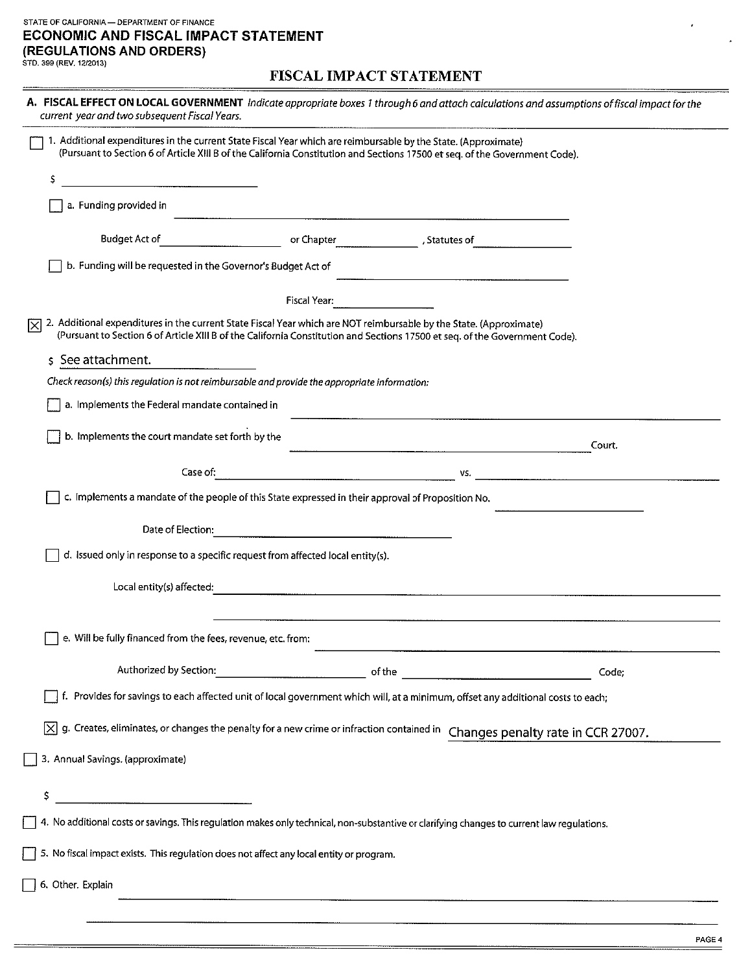### STATE OF CALIFORNIA - DEPARTMENT OF FINANCE **ECONOMIC AND FISCAL IMPACT STATEMENT** (REGULATIONS AND ORDERS) STD. 399 (REV. 12/2013)

## FISCAL IMPACT STATEMENT

| A. FISCAL EFFECT ON LOCAL GOVERNMENT Indicate appropriate boxes 1 through 6 and attach calculations and assumptions of fiscal impact for the<br>current year and two subsequent Fiscal Years.                                                           |                                                                                                                                                                                                                                      |     |        |  |
|---------------------------------------------------------------------------------------------------------------------------------------------------------------------------------------------------------------------------------------------------------|--------------------------------------------------------------------------------------------------------------------------------------------------------------------------------------------------------------------------------------|-----|--------|--|
| 1. Additional expenditures in the current State Fiscal Year which are reimbursable by the State. (Approximate)<br>(Pursuant to Section 6 of Article XIII B of the California Constitution and Sections 17500 et seq. of the Government Code).           |                                                                                                                                                                                                                                      |     |        |  |
| Ş                                                                                                                                                                                                                                                       |                                                                                                                                                                                                                                      |     |        |  |
| a. Funding provided in                                                                                                                                                                                                                                  |                                                                                                                                                                                                                                      |     |        |  |
| Budget Act of                                                                                                                                                                                                                                           |                                                                                                                                                                                                                                      |     |        |  |
| b. Funding will be requested in the Governor's Budget Act of                                                                                                                                                                                            |                                                                                                                                                                                                                                      |     |        |  |
|                                                                                                                                                                                                                                                         | Fiscal Year.                                                                                                                                                                                                                         |     |        |  |
| 2. Additional expenditures in the current State Fiscal Year which are NOT reimbursable by the State. (Approximate)<br> X<br>(Pursuant to Section 6 of Article XIII B of the California Constitution and Sections 17500 et seq. of the Government Code). |                                                                                                                                                                                                                                      |     |        |  |
| \$ See attachment.                                                                                                                                                                                                                                      |                                                                                                                                                                                                                                      |     |        |  |
| Check reason(s) this regulation is not reimbursable and provide the appropriate information:                                                                                                                                                            |                                                                                                                                                                                                                                      |     |        |  |
| a. Implements the Federal mandate contained in                                                                                                                                                                                                          |                                                                                                                                                                                                                                      |     |        |  |
| b. Implements the court mandate set forth by the                                                                                                                                                                                                        |                                                                                                                                                                                                                                      |     | Court. |  |
| Case of:                                                                                                                                                                                                                                                |                                                                                                                                                                                                                                      | VS. |        |  |
| c. Implements a mandate of the people of this State expressed in their approval of Proposition No.                                                                                                                                                      |                                                                                                                                                                                                                                      |     |        |  |
| Date of Election:                                                                                                                                                                                                                                       |                                                                                                                                                                                                                                      |     |        |  |
| d. Issued only in response to a specific request from affected local entity(s).                                                                                                                                                                         |                                                                                                                                                                                                                                      |     |        |  |
| Local entity(s) affected:                                                                                                                                                                                                                               | and the contract of the contract of the contract of the contract of the contract of the contract of the contract of the contract of the contract of the contract of the contract of the contract of the contract of the contra       |     |        |  |
| e. Will be fully financed from the fees, revenue, etc. from:                                                                                                                                                                                            |                                                                                                                                                                                                                                      |     |        |  |
| Authorized by Section:                                                                                                                                                                                                                                  | <u>of the contract of the contract of the contract of the contract of the contract of the contract of the contract of the contract of the contract of the contract of the contract of the contract of the contract of the contra</u> |     | Code;  |  |
| f. Provides for savings to each affected unit of local government which will, at a minimum, offset any additional costs to each;                                                                                                                        |                                                                                                                                                                                                                                      |     |        |  |
| $[\overline{x}]$ g. Creates, eliminates, or changes the penalty for a new crime or infraction contained in Changes penalty rate in CCR 27007.                                                                                                           |                                                                                                                                                                                                                                      |     |        |  |
| 3. Annual Savings. (approximate)                                                                                                                                                                                                                        |                                                                                                                                                                                                                                      |     |        |  |
| \$,                                                                                                                                                                                                                                                     |                                                                                                                                                                                                                                      |     |        |  |
| 4. No additional costs or savings. This regulation makes only technical, non-substantive or clarifying changes to current law regulations.                                                                                                              |                                                                                                                                                                                                                                      |     |        |  |
| 5. No fiscal impact exists. This regulation does not affect any local entity or program.                                                                                                                                                                |                                                                                                                                                                                                                                      |     |        |  |
| 6. Other. Explain                                                                                                                                                                                                                                       |                                                                                                                                                                                                                                      |     |        |  |
|                                                                                                                                                                                                                                                         |                                                                                                                                                                                                                                      |     |        |  |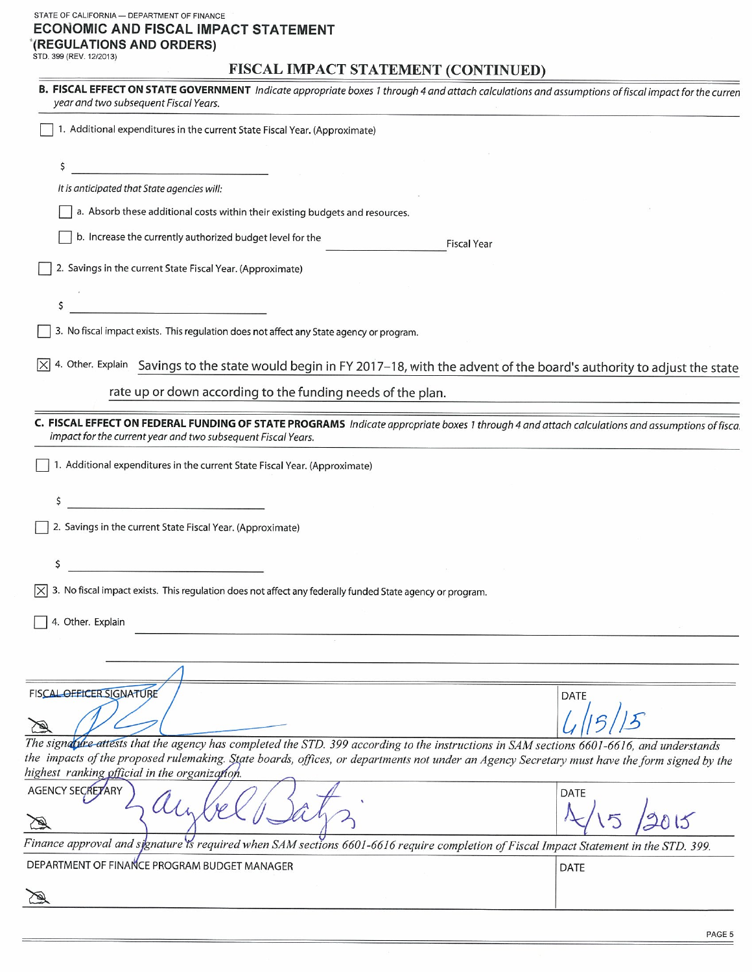### STATE OF CALIFORNIA - DEPARTMENT OF FINANCE ECONOMIC AND FISCAL IMPACT STATEMENT '(REGULATIONS AND ORDERS)

STD. 399 (REV. 12/2013)

 $=$ 

# FISCAL IMPACT STATEMENT (CONTINUED)

| B. FISCAL EFFECT ON STATE GOVERNMENT Indicate appropriate boxes 1 through 4 and attach calculations and assumptions of fiscal impact for the curren<br>year and two subsequent Fiscal Years.                   |             |
|----------------------------------------------------------------------------------------------------------------------------------------------------------------------------------------------------------------|-------------|
| 1. Additional expenditures in the current State Fiscal Year. (Approximate)                                                                                                                                     |             |
| \$                                                                                                                                                                                                             |             |
| It is anticipated that State agencies will:                                                                                                                                                                    |             |
| a. Absorb these additional costs within their existing budgets and resources.                                                                                                                                  |             |
| b. Increase the currently authorized budget level for the<br><b>Fiscal Year</b>                                                                                                                                |             |
| 2. Savings in the current State Fiscal Year. (Approximate)                                                                                                                                                     |             |
| \$                                                                                                                                                                                                             |             |
| 3. No fiscal impact exists. This regulation does not affect any State agency or program.                                                                                                                       |             |
| 4. Other. Explain Savings to the state would begin in FY 2017-18, with the advent of the board's authority to adjust the state                                                                                 |             |
| rate up or down according to the funding needs of the plan.                                                                                                                                                    |             |
| C. FISCAL EFFECT ON FEDERAL FUNDING OF STATE PROGRAMS Indicate appropriate boxes 1 through 4 and attach calculations and assumptions of fisca.<br>impact for the current year and two subsequent Fiscal Years. |             |
| 1. Additional expenditures in the current State Fiscal Year. (Approximate)                                                                                                                                     |             |
| \$                                                                                                                                                                                                             |             |
| 2. Savings in the current State Fiscal Year. (Approximate)                                                                                                                                                     |             |
|                                                                                                                                                                                                                |             |
|                                                                                                                                                                                                                |             |
| 3. No fiscal impact exists. This regulation does not affect any federally funded State agency or program.                                                                                                      |             |
| 4. Other. Explain                                                                                                                                                                                              |             |
|                                                                                                                                                                                                                |             |
|                                                                                                                                                                                                                |             |
| FISCAL OFFICER SIGNATURE                                                                                                                                                                                       | <b>DATE</b> |
|                                                                                                                                                                                                                |             |
| The signable attests that the agency has completed the STD. 399 according to the instructions in SAM sections 6601-6616, and understands                                                                       |             |
| the impacts of the proposed rulemaking. State boards, offices, or departments not under an Agency Secretary must have the form signed by the<br>highest ranking official in the organization.                  |             |
| AGENCY SECRETARY                                                                                                                                                                                               | <b>DATE</b> |
| Finance approval and signature is required when SAM sections 6601-6616 require completion of Fiscal Impact Statement in the STD. 399.                                                                          |             |
| DEPARTMENT OF FINANCE PROGRAM BUDGET MANAGER                                                                                                                                                                   | DATE        |
|                                                                                                                                                                                                                |             |
|                                                                                                                                                                                                                |             |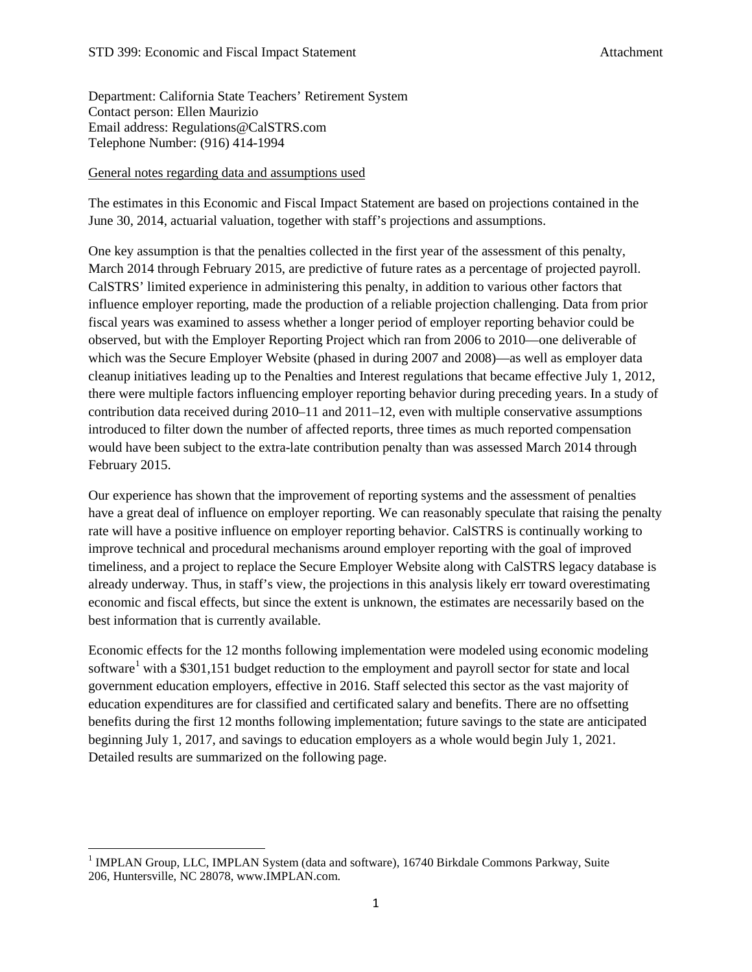Department: California State Teachers' Retirement System Contact person: Ellen Maurizio Email address: Regulations@CalSTRS.com Telephone Number: (916) 414-1994

### General notes regarding data and assumptions used

The estimates in this Economic and Fiscal Impact Statement are based on projections contained in the June 30, 2014, actuarial valuation, together with staff's projections and assumptions.

One key assumption is that the penalties collected in the first year of the assessment of this penalty, March 2014 through February 2015, are predictive of future rates as a percentage of projected payroll. CalSTRS' limited experience in administering this penalty, in addition to various other factors that influence employer reporting, made the production of a reliable projection challenging. Data from prior fiscal years was examined to assess whether a longer period of employer reporting behavior could be observed, but with the Employer Reporting Project which ran from 2006 to 2010—one deliverable of which was the Secure Employer Website (phased in during 2007 and 2008)—as well as employer data cleanup initiatives leading up to the Penalties and Interest regulations that became effective July 1, 2012, there were multiple factors influencing employer reporting behavior during preceding years. In a study of contribution data received during 2010–11 and 2011–12, even with multiple conservative assumptions introduced to filter down the number of affected reports, three times as much reported compensation would have been subject to the extra-late contribution penalty than was assessed March 2014 through February 2015.

Our experience has shown that the improvement of reporting systems and the assessment of penalties have a great deal of influence on employer reporting. We can reasonably speculate that raising the penalty rate will have a positive influence on employer reporting behavior. CalSTRS is continually working to improve technical and procedural mechanisms around employer reporting with the goal of improved timeliness, and a project to replace the Secure Employer Website along with CalSTRS legacy database is already underway. Thus, in staff's view, the projections in this analysis likely err toward overestimating economic and fiscal effects, but since the extent is unknown, the estimates are necessarily based on the best information that is currently available.

Economic effects for the 12 months following implementation were modeled using economic modeling software<sup>[1](#page-5-0)</sup> with a \$301,151 budget reduction to the employment and payroll sector for state and local government education employers, effective in 2016. Staff selected this sector as the vast majority of education expenditures are for classified and certificated salary and benefits. There are no offsetting benefits during the first 12 months following implementation; future savings to the state are anticipated beginning July 1, 2017, and savings to education employers as a whole would begin July 1, 2021. Detailed results are summarized on the following page.

<span id="page-5-0"></span> $1$  IMPLAN Group, LLC, IMPLAN System (data and software), 16740 Birkdale Commons Parkway, Suite 206, Huntersville, NC 28078, www.IMPLAN.com.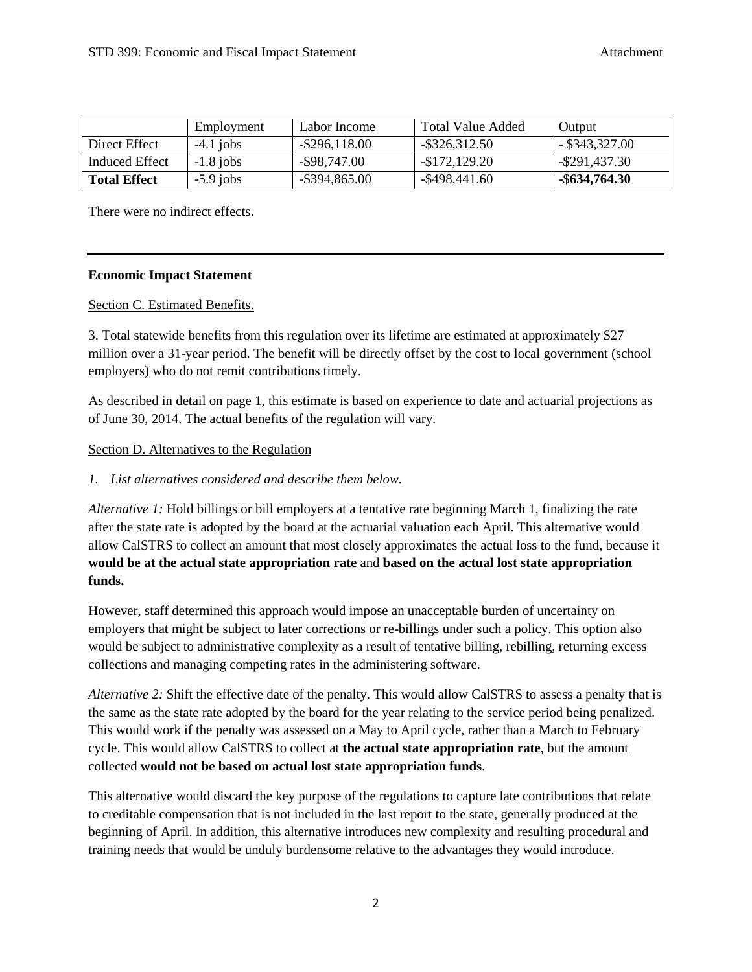|                     | Employment  | Labor Income     | <b>Total Value Added</b> | Output           |
|---------------------|-------------|------------------|--------------------------|------------------|
| Direct Effect       | $-4.1$ jobs | $-$ \$296,118.00 | $-$ \$326,312.50         | $-$ \$343,327.00 |
| Induced Effect      | $-1.8$ jobs | $-$ \$98,747.00  | -\$172,129.20            | $-$ \$291,437.30 |
| <b>Total Effect</b> | $-5.9$ jobs | $-$ \$394,865.00 | $-$ \$498,441.60         | $-$ \$634,764.30 |

There were no indirect effects.

## **Economic Impact Statement**

## Section C. Estimated Benefits.

3. Total statewide benefits from this regulation over its lifetime are estimated at approximately \$27 million over a 31-year period. The benefit will be directly offset by the cost to local government (school employers) who do not remit contributions timely.

As described in detail on page 1, this estimate is based on experience to date and actuarial projections as of June 30, 2014. The actual benefits of the regulation will vary.

### Section D. Alternatives to the Regulation

## *1. List alternatives considered and describe them below.*

*Alternative 1:* Hold billings or bill employers at a tentative rate beginning March 1, finalizing the rate after the state rate is adopted by the board at the actuarial valuation each April. This alternative would allow CalSTRS to collect an amount that most closely approximates the actual loss to the fund, because it **would be at the actual state appropriation rate** and **based on the actual lost state appropriation funds.**

However, staff determined this approach would impose an unacceptable burden of uncertainty on employers that might be subject to later corrections or re-billings under such a policy. This option also would be subject to administrative complexity as a result of tentative billing, rebilling, returning excess collections and managing competing rates in the administering software.

*Alternative 2:* Shift the effective date of the penalty. This would allow CalSTRS to assess a penalty that is the same as the state rate adopted by the board for the year relating to the service period being penalized. This would work if the penalty was assessed on a May to April cycle, rather than a March to February cycle. This would allow CalSTRS to collect at **the actual state appropriation rate**, but the amount collected **would not be based on actual lost state appropriation funds**.

This alternative would discard the key purpose of the regulations to capture late contributions that relate to creditable compensation that is not included in the last report to the state, generally produced at the beginning of April. In addition, this alternative introduces new complexity and resulting procedural and training needs that would be unduly burdensome relative to the advantages they would introduce.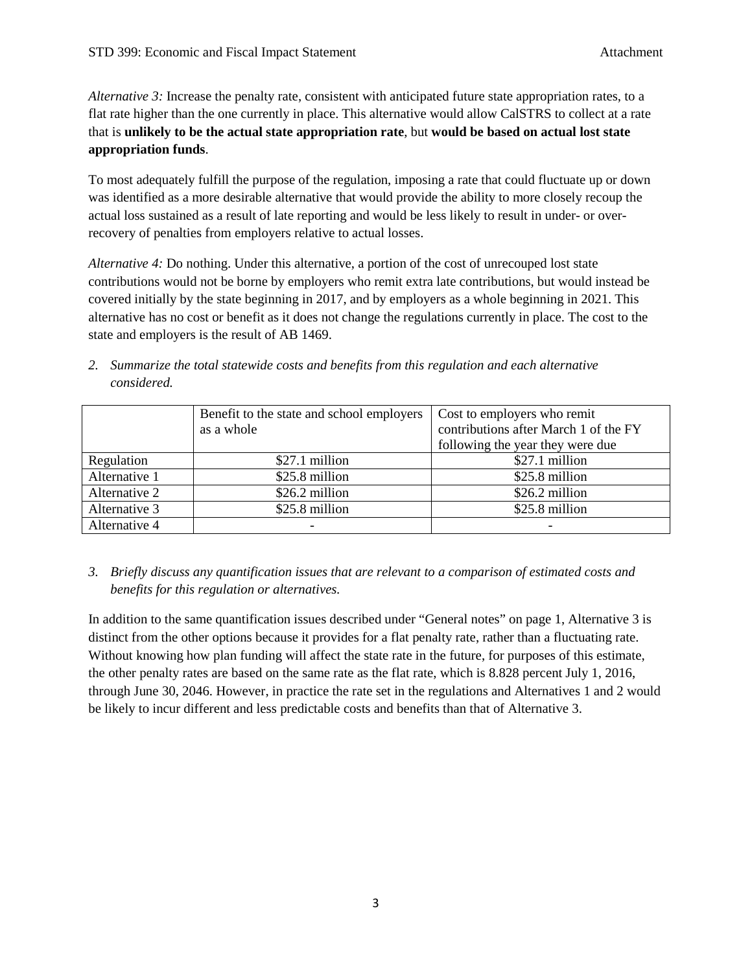*Alternative 3:* Increase the penalty rate, consistent with anticipated future state appropriation rates, to a flat rate higher than the one currently in place. This alternative would allow CalSTRS to collect at a rate that is **unlikely to be the actual state appropriation rate**, but **would be based on actual lost state appropriation funds**.

To most adequately fulfill the purpose of the regulation, imposing a rate that could fluctuate up or down was identified as a more desirable alternative that would provide the ability to more closely recoup the actual loss sustained as a result of late reporting and would be less likely to result in under- or overrecovery of penalties from employers relative to actual losses.

*Alternative 4:* Do nothing. Under this alternative, a portion of the cost of unrecouped lost state contributions would not be borne by employers who remit extra late contributions, but would instead be covered initially by the state beginning in 2017, and by employers as a whole beginning in 2021. This alternative has no cost or benefit as it does not change the regulations currently in place. The cost to the state and employers is the result of AB 1469.

*2. Summarize the total statewide costs and benefits from this regulation and each alternative considered.*

|               | Benefit to the state and school employers<br>as a whole | Cost to employers who remit<br>contributions after March 1 of the FY<br>following the year they were due |
|---------------|---------------------------------------------------------|----------------------------------------------------------------------------------------------------------|
| Regulation    | \$27.1 million                                          | \$27.1 million                                                                                           |
| Alternative 1 | \$25.8 million                                          | \$25.8 million                                                                                           |
| Alternative 2 | \$26.2 million                                          | \$26.2 million                                                                                           |
| Alternative 3 | \$25.8 million                                          | \$25.8 million                                                                                           |
| Alternative 4 |                                                         |                                                                                                          |

*3. Briefly discuss any quantification issues that are relevant to a comparison of estimated costs and benefits for this regulation or alternatives.* 

In addition to the same quantification issues described under "General notes" on page 1, Alternative 3 is distinct from the other options because it provides for a flat penalty rate, rather than a fluctuating rate. Without knowing how plan funding will affect the state rate in the future, for purposes of this estimate, the other penalty rates are based on the same rate as the flat rate, which is 8.828 percent July 1, 2016, through June 30, 2046. However, in practice the rate set in the regulations and Alternatives 1 and 2 would be likely to incur different and less predictable costs and benefits than that of Alternative 3.